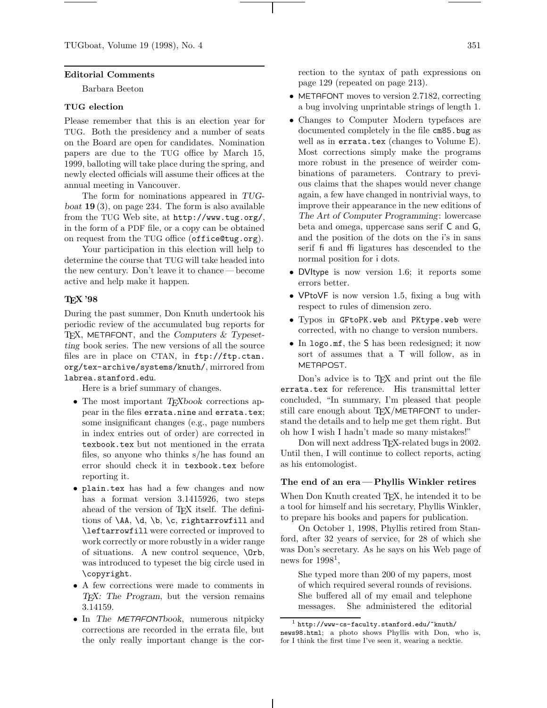## **Editorial Comments**

Barbara Beeton

## **TUG election**

Please remember that this is an election year for TUG. Both the presidency and a number of seats on the Board are open for candidates. Nomination papers are due to the TUG office by March 15, 1999, balloting will take place during the spring, and newly elected officials will assume their offices at the annual meeting in Vancouver.

The form for nominations appeared in *TUGboat* **19** (3), on page 234. The form is also available from the TUG Web site, at http://www.tug.org/, in the form of a PDF file, or a copy can be obtained on request from the TUG office (office@tug.org).

Your participation in this election will help to determine the course that TUG will take headed into the new century. Don't leave it to chance— become active and help make it happen.

# **TEX '98**

During the past summer, Don Knuth undertook his periodic review of the accumulated bug reports for TEX, METAFONT, and the *Computers & Typesetting* book series. The new versions of all the source files are in place on CTAN, in ftp://ftp.ctan. org/tex-archive/systems/knuth/, mirrored from labrea.stanford.edu.

Here is a brief summary of changes.

- The most important *T<sub>E</sub>Xbook* corrections appear in the files errata.nine and errata.tex; some insignificant changes (e.g., page numbers in index entries out of order) are corrected in texbook.tex but not mentioned in the errata files, so anyone who thinks s/he has found an error should check it in texbook.tex before reporting it.
- plain.tex has had a few changes and now has a format version 3.1415926, two steps ahead of the version of T<sub>F</sub>X itself. The definitions of \AA, \d, \b, \c, rightarrowfill and \leftarrowfill were corrected or improved to work correctly or more robustly in a wider range of situations. A new control sequence, \Orb, was introduced to typeset the big circle used in \copyright.
- A few corrections were made to comments in *TEX: The Program*, but the version remains 3.14159.
- In *The* METAFONT*book*, numerous nitpicky corrections are recorded in the errata file, but the only really important change is the cor-

rection to the syntax of path expressions on page 129 (repeated on page 213).

- METAFONT moves to version 2.7182, correcting a bug involving unprintable strings of length 1.
- Changes to Computer Modern typefaces are documented completely in the file cm85.bug as well as in errata.tex (changes to Volume E). Most corrections simply make the programs more robust in the presence of weirder combinations of parameters. Contrary to previous claims that the shapes would never change again, a few have changed in nontrivial ways, to improve their appearance in the new editions of *The Art of Computer Programming*: lowercase beta and omega, uppercase sans serif C and G, and the position of the dots on the i's in sans serif fi and ffi ligatures has descended to the normal position for i dots.
- DVItype is now version 1.6; it reports some errors better.
- VPtoVF is now version 1.5, fixing a bug with respect to rules of dimension zero.
- Typos in GFtoPK.web and PKtype.web were corrected, with no change to version numbers.
- In logo.mf, the S has been redesigned; it now sort of assumes that a T will follow, as in METAPOST.

Don's advice is to T<sub>E</sub>X and print out the file errata.tex for reference. His transmittal letter concluded, "In summary, I'm pleased that people still care enough about T<sub>E</sub>X/METAFONT to understand the details and to help me get them right. But oh how I wish I hadn't made so many mistakes!"

Don will next address T<sub>E</sub>X-related bugs in 2002. Until then, I will continue to collect reports, acting as his entomologist.

#### **The end of an era — Phyllis Winkler retires**

When Don Knuth created TEX, he intended it to be a tool for himself and his secretary, Phyllis Winkler, to prepare his books and papers for publication.

On October 1, 1998, Phyllis retired from Stanford, after 32 years of service, for 28 of which she was Don's secretary. As he says on his Web page of news for  $1998<sup>1</sup>$ ,

She typed more than 200 of my papers, most of which required several rounds of revisions. She buffered all of my email and telephone messages. She administered the editorial

 $^{\rm 1}$ http://www-cs-faculty.stanford.edu/~knuth/ news98.html; a photo shows Phyllis with Don, who is, for I think the first time I've seen it, wearing a necktie.